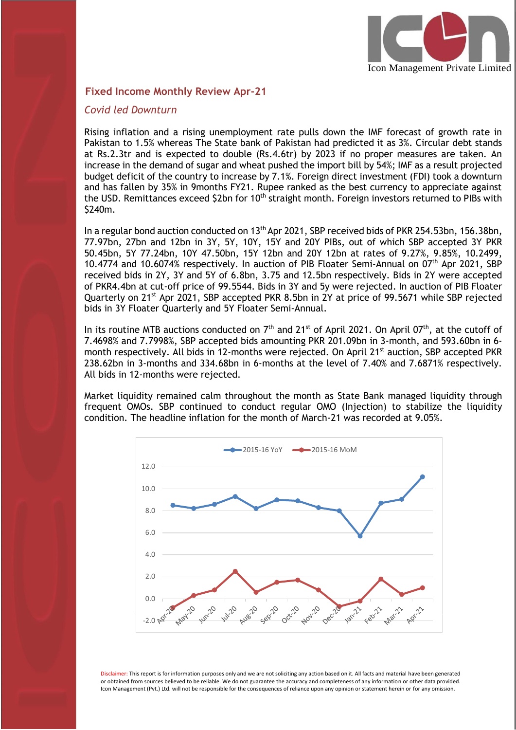

#### **Fixed Income Monthly Review Apr-21**

#### *Covid led Downturn*

I

Rising inflation and a rising unemployment rate pulls down the IMF forecast of growth rate in Pakistan to 1.5% whereas The State bank of Pakistan had predicted it as 3%. Circular debt stands at Rs.2.3tr and is expected to double (Rs.4.6tr) by 2023 if no proper measures are taken. An increase in the demand of sugar and wheat pushed the import bill by 54%; IMF as a result projected budget deficit of the country to increase by 7.1%. Foreign direct investment (FDI) took a downturn and has fallen by 35% in 9months FY21. Rupee ranked as the best currency to appreciate against the USD. Remittances exceed \$2bn for 10<sup>th</sup> straight month. Foreign investors returned to PIBs with \$240m.

In a regular bond auction conducted on 13<sup>th</sup> Apr 2021, SBP received bids of PKR 254.53bn, 156.38bn, 77.97bn, 27bn and 12bn in 3Y, 5Y, 10Y, 15Y and 20Y PIBs, out of which SBP accepted 3Y PKR 50.45bn, 5Y 77.24bn, 10Y 47.50bn, 15Y 12bn and 20Y 12bn at rates of 9.27%, 9.85%, 10.2499, 10.4774 and 10.6074% respectively. In auction of PIB Floater Semi-Annual on 07th Apr 2021, SBP received bids in 2Y, 3Y and 5Y of 6.8bn, 3.75 and 12.5bn respectively. Bids in 2Y were accepted of PKR4.4bn at cut-off price of 99.5544. Bids in 3Y and 5y were rejected. In auction of PIB Floater Quarterly on 21<sup>st</sup> Apr 2021, SBP accepted PKR 8.5bn in 2Y at price of 99.5671 while SBP rejected bids in 3Y Floater Quarterly and 5Y Floater Semi-Annual.

In its routine MTB auctions conducted on  $7<sup>th</sup>$  and 21<sup>st</sup> of April 2021. On April 07<sup>th</sup>, at the cutoff of 7.4698% and 7.7998%, SBP accepted bids amounting PKR 201.09bn in 3-month, and 593.60bn in 6 month respectively. All bids in 12-months were rejected. On April 21<sup>st</sup> auction, SBP accepted PKR 238.62bn in 3-months and 334.68bn in 6-months at the level of 7.40% and 7.6871% respectively. All bids in 12-months were rejected.

Market liquidity remained calm throughout the month as State Bank managed liquidity through frequent OMOs. SBP continued to conduct regular OMO (Injection) to stabilize the liquidity condition. The headline inflation for the month of March-21 was recorded at 9.05%.



Disclaimer: This report is for information purposes only and we are not soliciting any action based on it. All facts and material have been generated or obtained from sources believed to be reliable. We do not guarantee the accuracy and completeness of any information or other data provided. Icon Management (Pvt.) Ltd. will not be responsible for the consequences of reliance upon any opinion or statement herein or for any omission.